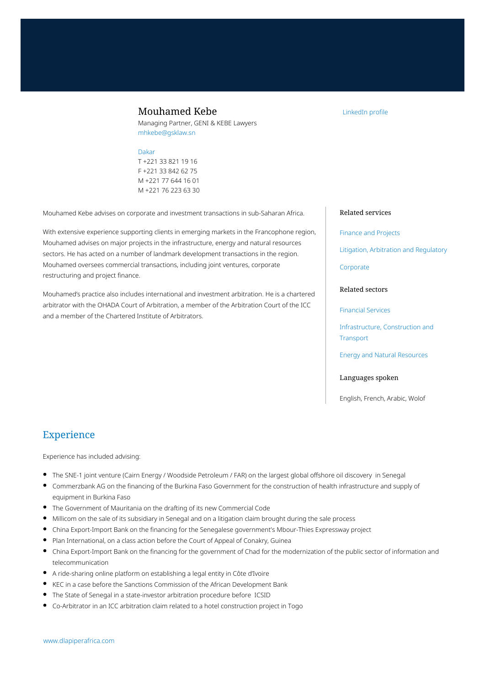## Mouhamed Kebe

Managing Partner, GENI & KEBE Lawyers mhkebe@gsklaw.sn

#### [Dakar](https://www.dlapiperafrica.com/senegal/locations/dakar.html)

T +221 33 821 19 16 F +221 33 842 62 75 M +221 77 644 16 01 M +221 76 223 63 30

Mouhamed Kebe advises on corporate and investment transactions in sub-Saharan Africa.

With extensive experience supporting clients in emerging markets in the Francophone region, Mouhamed advises on major projects in the infrastructure, energy and natural resources sectors. He has acted on a number of landmark development transactions in the region. Mouhamed oversees commercial transactions, including joint ventures, corporate restructuring and project finance.

Mouhamed's practice also includes international and investment arbitration. He is a chartered arbitrator with the OHADA Court of Arbitration, a member of the Arbitration Court of the ICC and a member of the Chartered Institute of Arbitrators.

# Related services

[LinkedIn profile](https://www.linkedin.com/in/mouhamed-kebe-3b353918)

[Finance and Projects](https://www.dlapiperafrica.com/en/senegal/services/finance-and-projects.html)

[Litigation, Arbitration and Regulatory](https://www.dlapiperafrica.com/en/senegal/services/litigation-and-regulatory.html)

[Corporate](https://www.dlapiperafrica.com/en/senegal/services/corporate.html)

#### Related sectors

[Financial Services](https://www.dlapiperafrica.com/en/senegal/sectors/financial-services.html)

[Infrastructure, Construction and](https://www.dlapiperafrica.com/en/senegal/sectors/infrastructure-construction-transport.html) **[Transport](https://www.dlapiperafrica.com/en/senegal/sectors/infrastructure-construction-transport.html)** 

[Energy and Natural Resources](https://www.dlapiperafrica.com/en/senegal/sectors/energy-and-natural-resources.html)

#### Languages spoken

English, French, Arabic, Wolof

## Experience

Experience has included advising:

- The SNE-1 joint venture (Cairn Energy / Woodside Petroleum / FAR) on the largest global offshore oil discovery in Senegal
- Commerzbank AG on the financing of the Burkina Faso Government for the construction of health infrastructure and supply of equipment in Burkina Faso
- The Government of Mauritania on the drafting of its new Commercial Code
- Millicom on the sale of its subsidiary in Senegal and on a litigation claim brought during the sale process
- China Export-Import Bank on the financing for the Senegalese government's Mbour-Thies Expressway project
- Plan International, on a class action before the Court of Appeal of Conakry, Guinea
- China Export-Import Bank on the financing for the government of Chad for the modernization of the public sector of information and telecommunication
- A ride-sharing online platform on establishing a legal entity in Côte d'Ivoire
- KEC in a case before the Sanctions Commission of the African Development Bank
- The State of Senegal in a state-investor arbitration procedure before ICSID
- Co-Arbitrator in an ICC arbitration claim related to a hotel construction project in Togo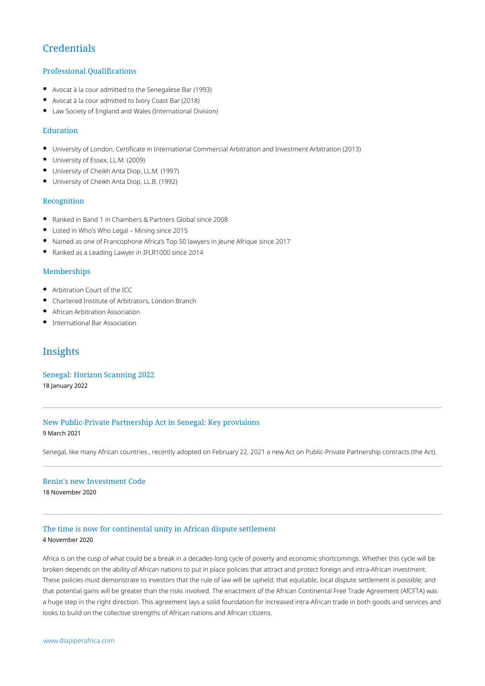# **Credentials**

## Professional Qualifications

- Avocat à la cour admitted to the Senegalese Bar (1993)
- Avocat à la cour admitted to Ivory Coast Bar (2018)
- Law Society of England and Wales (International Division)

#### Education

- $\bullet$ University of London, Certificate in International Commercial Arbitration and Investment Arbitration (2013)
- University of Essex, LL.M. (2009)
- University of Cheikh Anta Diop, LL.M. (1997)
- University of Cheikh Anta Diop, LL.B. (1992)

#### Recognition

- Ranked in Band 1 in Chambers & Partners Global since 2008
- Listed in Who's Who Legal Mining since 2015
- Named as one of Francophone Africa's Top 50 lawyers in Jeune Afrique since 2017
- Ranked as a Leading Lawyer in IFLR1000 since 2014

#### Memberships

- Arbitration Court of the ICC  $\bullet$
- Chartered Institute of Arbitrators, London Branch
- African Arbitration Association
- International Bar Association

# Insights

[Senegal: Horizon Scanning 2022](https://www.dlapiperafrica.com/en/senegal/insights/view.html?item=79a7bff8-7aa2-11ec-ab5b-393367b20614) 18 January 2022

## [New Public-Private Partnership Act in Senegal: Key provisions](https://www.dlapiperafrica.com/en/senegal/insights/2021/new-public-private-partnership-act-in-senegal-key-provisions.html) 9 March 2021

Senegal, like many African countries , recently adopted on February 22, 2021 a new Act on Public-Private Partnership contracts (the Act).

#### [Benin's new Investment Code](https://www.dlapiperafrica.com/en/senegal/insights/2020/benins-new-investment-code.html)

18 November 2020

## [The time is now for continental unity in African dispute settlement](https://www.dlapiperafrica.com/en/senegal/insights/view.html?item=67acfb12-cea4-11eb-99ca-393367b20614)

#### 4 November 2020

Africa is on the cusp of what could be a break in a decades-long cycle of poverty and economic shortcomings. Whether this cycle will be broken depends on the ability of African nations to put in place policies that attract and protect foreign and intra-African investment. These policies must demonstrate to investors that the rule of law will be upheld; that equitable, local dispute settlement is possible; and that potential gains will be greater than the risks involved. The enactment of the African Continental Free Trade Agreement (AfCFTA) was a huge step in the right direction. This agreement lays a solid foundation for increased intra-African trade in both goods and services and looks to build on the collective strengths of African nations and African citizens.